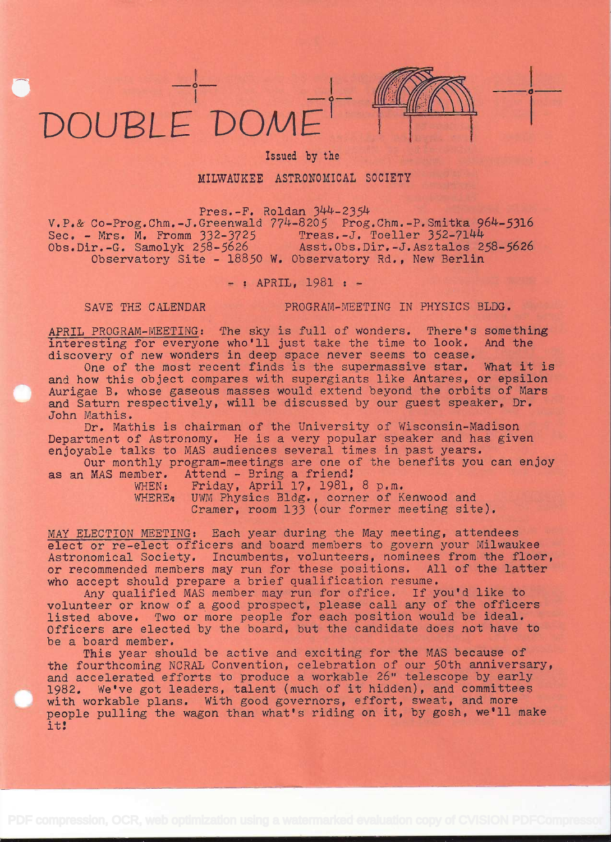



## Issued by the

MILWAUKEE ASTRONOMICAL SOCIETY

Pres.-F. Roldan  $344-2354$ 

 $V.P. & Co-Prog. Chm. -J.Greenwald 774-8205 Prog.Chm.-P.Smitka 964-5316  
Sec. - Mrs. M. Fromm 332-3725 Trees.-J. Toeller 352-7144$ Sec. - Mrs. M. Fromm 332-3725<br>Obs.Dir.-G. Samolyk 258-5626 Asst.Obs.Dir.-J.Asztalos 258-5626 Observatory Site - 18850 W. Observatory Rd., New Berlin

- : APRIL, 1981 : -

SAVE THE CALENDAR PROGRAM-MEETING IN PHYSICS BLDG.

APRIL PROGRAM-MEETING: The sky is full of wonders. There's something<br>interesting for everyone who'll just take the time to look. And the interesting for everyone who'll just take the time to look. discovery of new wonders in deep space never seems to cease.

One of the most recent finds is the supermassive star. What it is and how this object compares with supergiants like Antares, or epsilon Aurigae B. whose gaseous masses would extend beyond the orbits of Mars and Saturn respectively, will be discussed by our guest speaker, Dr. John Mathis.

Dr. Mathis is chairman of the University of Wisconsin-Madison Department of Astronomy. He is a very popular speaker and has given enjoyable talks to MAS audiences several times in past years.

Our monthly program-meetings are one of the benefits you can enjoy as an MAS member. Attend - Bring a friend:<br>WHEN: Friday. April 17, 1981.

Friday, April 17, 1981, 8 p.m. WHERE: UWM Physics Bldg., corner of Kenwood and Cramer, room 133 (our former meeting site).

MAY ELECTION MEETING: Each year during the May meeting, attendees elect or re-elect officers and board members to govern your Milwaukee Astronomical Society. Incumbents, volunteers, nominees from the floer, or recommended members may run for these positions. All of the latter who accept should prepare a brief qualification resume.

Any qualified MAS member may run for office. If you'd like to volunteer or know of a good prospect, please call any of the officers listed above. Two or more people for each position would be ideal. Officers are elected by the board, but the candidate does not have to be a board member.

This year should be active and exciting for the MAS because of the fourthcoming NORAL Convention, celebration of our 50th anniversary, and accelerated efforts to produce a workable 26" telescope by early 1982. We've got leaders, talent (much of it hidden), and committees with workable plans. With good governors, effort, sweat, and more people pulling the wagon than what's riding on it, by gosh, we'll make it: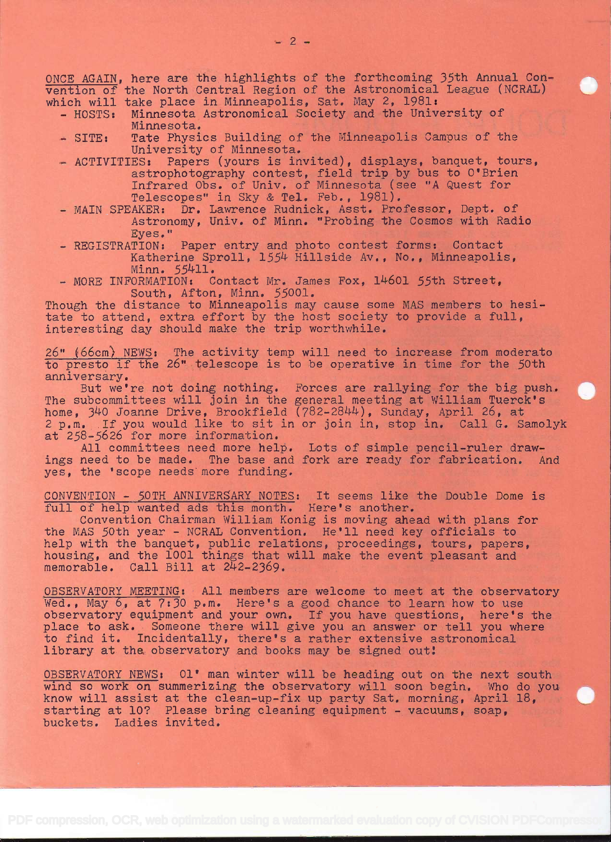ONCE AGAIN, here are the highlights of' the forthcoming 35th Annual Convention of' the North Central Region of the Astronomical League (NCRAL) which will take place in Minneapolis, Sat. May 2, 1981:

- HOSTS: Minnesota Astronomical Society and the University of Minnesota.
- SITE: Tate Physics Building of the Minneapolis Campus of the University of Minnesota.<br>- ACTIVITIES: Papers (yours is in
- Papers (yours is invited), displays, banquet, tours, astrophotography contest, field trip by bus to O'Brien Infrared Obs. of Univ. of Minnesota (see "A Quest for Telescopes" in Sky & Tel. Feb., 1981).
- MAIN SPEAKER: Dr. Lawrence Rudnick, Asst. Professor, Dept. of Astronomy, Univ. of Minn. "Probing the Cosmos with Radio Eyes."
- REGISTRATION: Paper entry and photo contest forms: Contact Katherine Sproll, 1554 Hillside Av., No., Minneapolis, Minn. 55411.
- MORE INFORMATION: Contact Mr. James Fox, 14601 55th Street, South, Afton, Minn. 55001.

Though the distance to Minneapolis may cause some MAS members to hesitate to attend, extra effort by the host society to provide a full, interesting day should make the trip worthwhile.

26" (66cm) NEWS: The activity temp will need to increase from moderato to presto if the 26" telescope is to be operative in time for the 50th anniversary.

But we're not doing nothing. Forces are rallying for the big push. The subcommittees will join in the general meeting at William Tuerck's home, 340 Joanne Drive, Brookfield (782–2844), Sunday, April 26, at 2 p.m. If you would like to sit in or join in, stop in. Call G. Samolyk at 258-5626 for more information.

All committees need more help. Lots of simple pencil-ruler drawings need to be made. The base and fork are ready for fabrication. And yes, the 'scope needs'more funding.

CONVENTION - 50TH ANNIVERSARY NOTES: It seems like the Double Dome is full of help wanted ads this month. Here's another.

Convention Chairman William Konig is moving ahead with plans for the MAS 50th year - NCRAL Convention. He'll need key officials to help with the banquet, public relations, proceedings, tours, papers, housing, and the 1001 things that will make the event pleasant and memorable. Call Bill at  $242-2369$ .

OBSERVATORY MEETING: All members are welcome to meet at the observatory Wed., May  $6$ , at  $7:30$  p.m. Here's a good chance to learn how to use observatory equipment and your own. If you have questions, here's the place to ask. Someone there will give you an answer or tell you where to find it. Incidentally, there's a rather extensive astronomical library at the observatory and books may be signed out!

OBSERVATORY NEWS: 01' man winter will be heading out on the next south wind so work on summerizing the observatory will soon begin. Who do you know will assist at the clean-up-fix up party Sat. morning, April 18, starting at 10? Please bring cleaning equipment - vacuums, soap, buckets. Ladies invited.